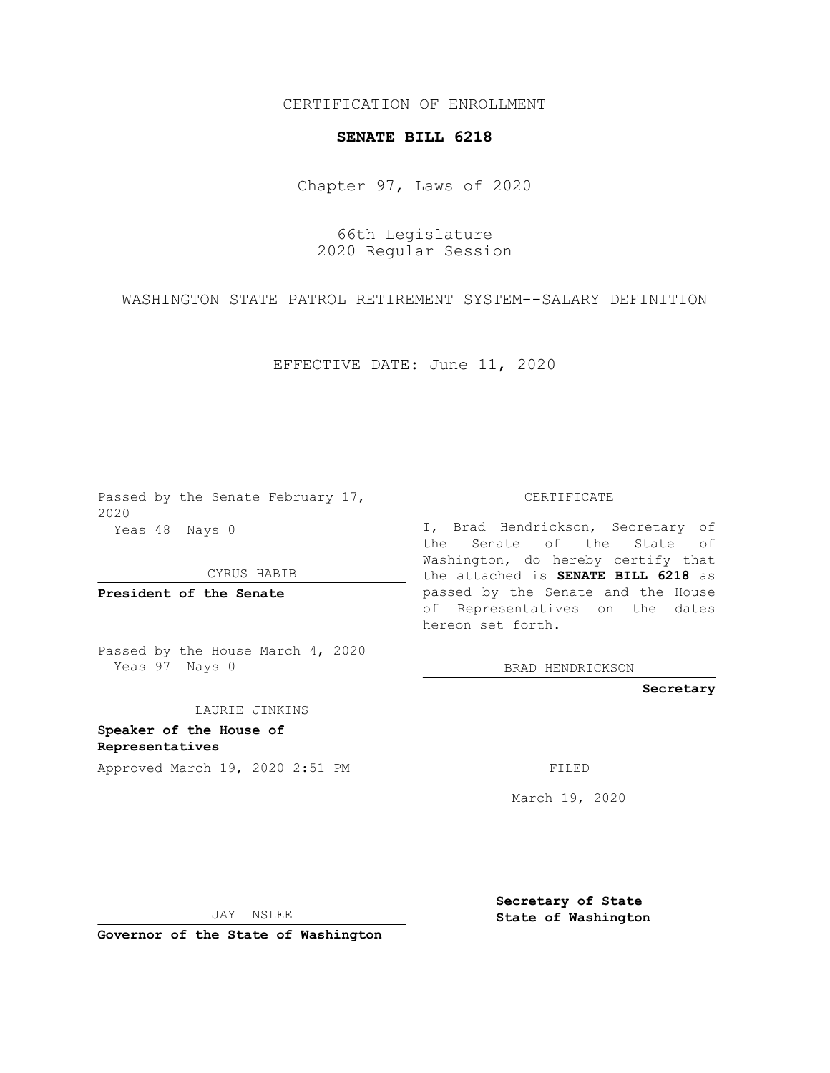## CERTIFICATION OF ENROLLMENT

## **SENATE BILL 6218**

Chapter 97, Laws of 2020

66th Legislature 2020 Regular Session

WASHINGTON STATE PATROL RETIREMENT SYSTEM--SALARY DEFINITION

EFFECTIVE DATE: June 11, 2020

Passed by the Senate February 17, 2020 Yeas 48 Nays 0

CYRUS HABIB

**President of the Senate**

Passed by the House March 4, 2020 Yeas 97 Nays 0

LAURIE JINKINS

**Speaker of the House of Representatives**

Approved March 19, 2020 2:51 PM FILED

CERTIFICATE

I, Brad Hendrickson, Secretary of the Senate of the State of Washington, do hereby certify that the attached is **SENATE BILL 6218** as passed by the Senate and the House of Representatives on the dates hereon set forth.

BRAD HENDRICKSON

**Secretary**

March 19, 2020

JAY INSLEE

**Governor of the State of Washington**

**Secretary of State State of Washington**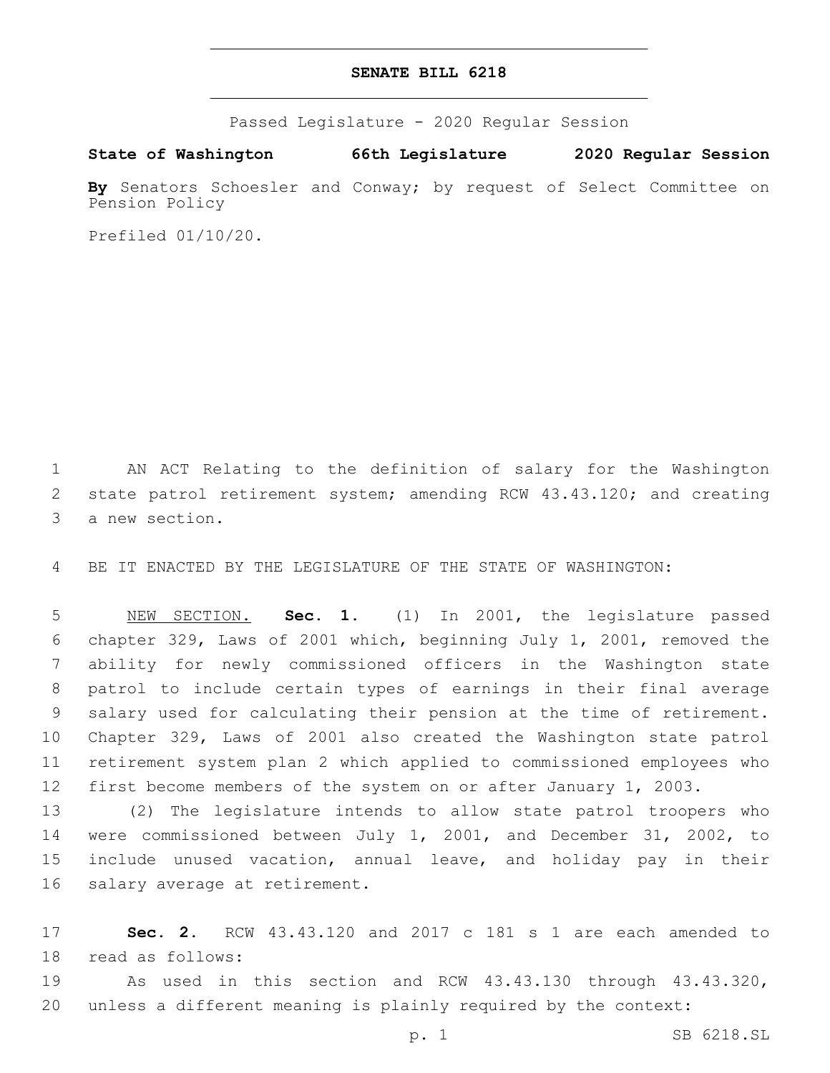## **SENATE BILL 6218**

Passed Legislature - 2020 Regular Session

**State of Washington 66th Legislature 2020 Regular Session**

By Senators Schoesler and Conway; by request of Select Committee on Pension Policy

Prefiled 01/10/20.

1 AN ACT Relating to the definition of salary for the Washington 2 state patrol retirement system; amending RCW 43.43.120; and creating 3 a new section.

4 BE IT ENACTED BY THE LEGISLATURE OF THE STATE OF WASHINGTON:

 NEW SECTION. **Sec. 1.** (1) In 2001, the legislature passed chapter 329, Laws of 2001 which, beginning July 1, 2001, removed the ability for newly commissioned officers in the Washington state patrol to include certain types of earnings in their final average salary used for calculating their pension at the time of retirement. Chapter 329, Laws of 2001 also created the Washington state patrol retirement system plan 2 which applied to commissioned employees who first become members of the system on or after January 1, 2003.

 (2) The legislature intends to allow state patrol troopers who were commissioned between July 1, 2001, and December 31, 2002, to include unused vacation, annual leave, and holiday pay in their 16 salary average at retirement.

17 **Sec. 2.** RCW 43.43.120 and 2017 c 181 s 1 are each amended to 18 read as follows:

19 As used in this section and RCW 43.43.130 through 43.43.320, 20 unless a different meaning is plainly required by the context: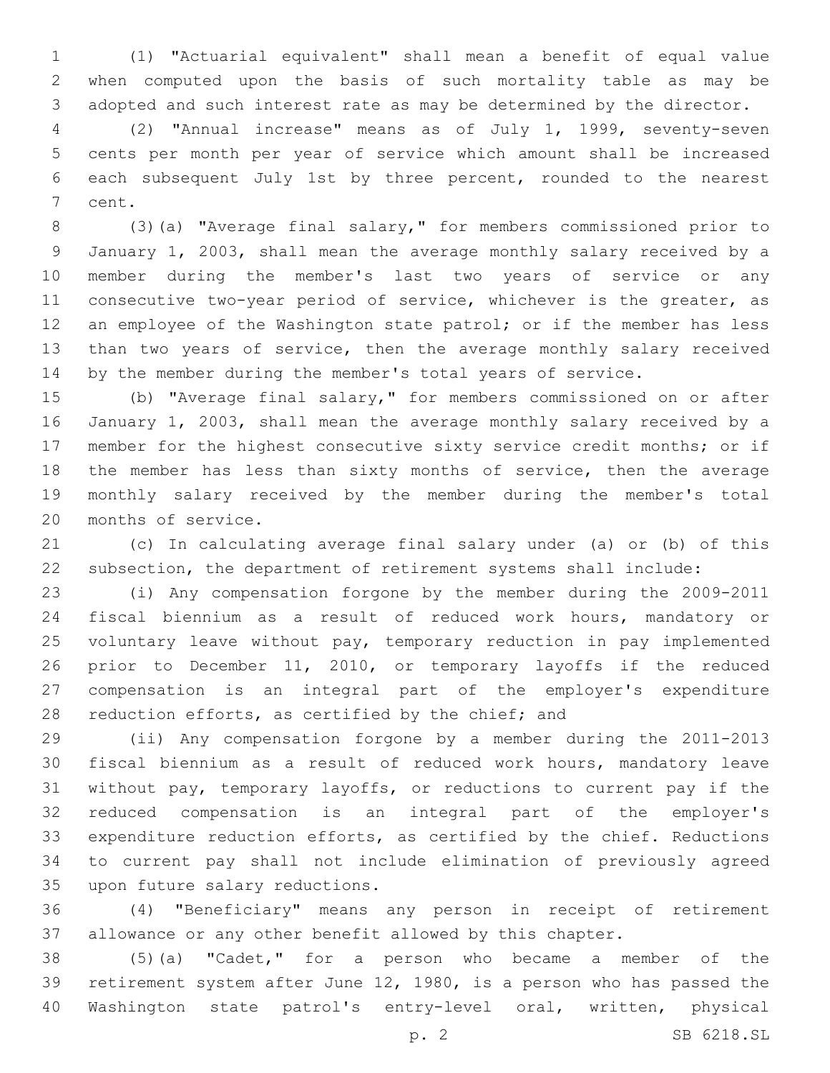(1) "Actuarial equivalent" shall mean a benefit of equal value when computed upon the basis of such mortality table as may be adopted and such interest rate as may be determined by the director.

 (2) "Annual increase" means as of July 1, 1999, seventy-seven cents per month per year of service which amount shall be increased each subsequent July 1st by three percent, rounded to the nearest 7 cent.

 (3)(a) "Average final salary," for members commissioned prior to January 1, 2003, shall mean the average monthly salary received by a member during the member's last two years of service or any consecutive two-year period of service, whichever is the greater, as 12 an employee of the Washington state patrol; or if the member has less than two years of service, then the average monthly salary received by the member during the member's total years of service.

 (b) "Average final salary," for members commissioned on or after January 1, 2003, shall mean the average monthly salary received by a member for the highest consecutive sixty service credit months; or if the member has less than sixty months of service, then the average monthly salary received by the member during the member's total 20 months of service.

 (c) In calculating average final salary under (a) or (b) of this subsection, the department of retirement systems shall include:

 (i) Any compensation forgone by the member during the 2009-2011 fiscal biennium as a result of reduced work hours, mandatory or voluntary leave without pay, temporary reduction in pay implemented prior to December 11, 2010, or temporary layoffs if the reduced compensation is an integral part of the employer's expenditure 28 reduction efforts, as certified by the chief; and

 (ii) Any compensation forgone by a member during the 2011-2013 fiscal biennium as a result of reduced work hours, mandatory leave without pay, temporary layoffs, or reductions to current pay if the reduced compensation is an integral part of the employer's expenditure reduction efforts, as certified by the chief. Reductions to current pay shall not include elimination of previously agreed 35 upon future salary reductions.

 (4) "Beneficiary" means any person in receipt of retirement allowance or any other benefit allowed by this chapter.

 (5)(a) "Cadet," for a person who became a member of the retirement system after June 12, 1980, is a person who has passed the Washington state patrol's entry-level oral, written, physical

p. 2 SB 6218.SL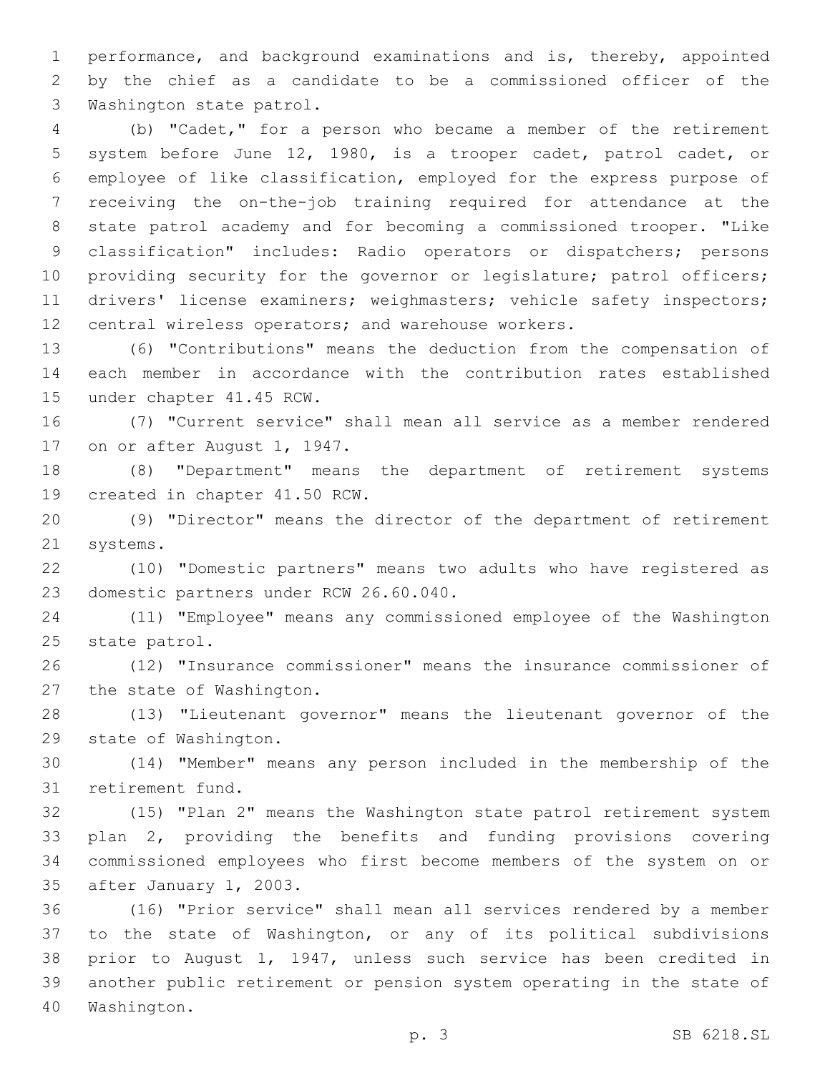performance, and background examinations and is, thereby, appointed by the chief as a candidate to be a commissioned officer of the 3 Washington state patrol.

 (b) "Cadet," for a person who became a member of the retirement system before June 12, 1980, is a trooper cadet, patrol cadet, or employee of like classification, employed for the express purpose of receiving the on-the-job training required for attendance at the state patrol academy and for becoming a commissioned trooper. "Like classification" includes: Radio operators or dispatchers; persons 10 providing security for the governor or legislature; patrol officers; drivers' license examiners; weighmasters; vehicle safety inspectors; central wireless operators; and warehouse workers.

 (6) "Contributions" means the deduction from the compensation of each member in accordance with the contribution rates established 15 under chapter 41.45 RCW.

 (7) "Current service" shall mean all service as a member rendered 17 on or after August 1, 1947.

 (8) "Department" means the department of retirement systems 19 created in chapter 41.50 RCW.

 (9) "Director" means the director of the department of retirement 21 systems.

 (10) "Domestic partners" means two adults who have registered as 23 domestic partners under RCW 26.60.040.

 (11) "Employee" means any commissioned employee of the Washington 25 state patrol.

 (12) "Insurance commissioner" means the insurance commissioner of 27 the state of Washington.

 (13) "Lieutenant governor" means the lieutenant governor of the 29 state of Washington.

 (14) "Member" means any person included in the membership of the 31 retirement fund.

 (15) "Plan 2" means the Washington state patrol retirement system plan 2, providing the benefits and funding provisions covering commissioned employees who first become members of the system on or 35 after January 1, 2003.

 (16) "Prior service" shall mean all services rendered by a member to the state of Washington, or any of its political subdivisions prior to August 1, 1947, unless such service has been credited in another public retirement or pension system operating in the state of 40 Washington.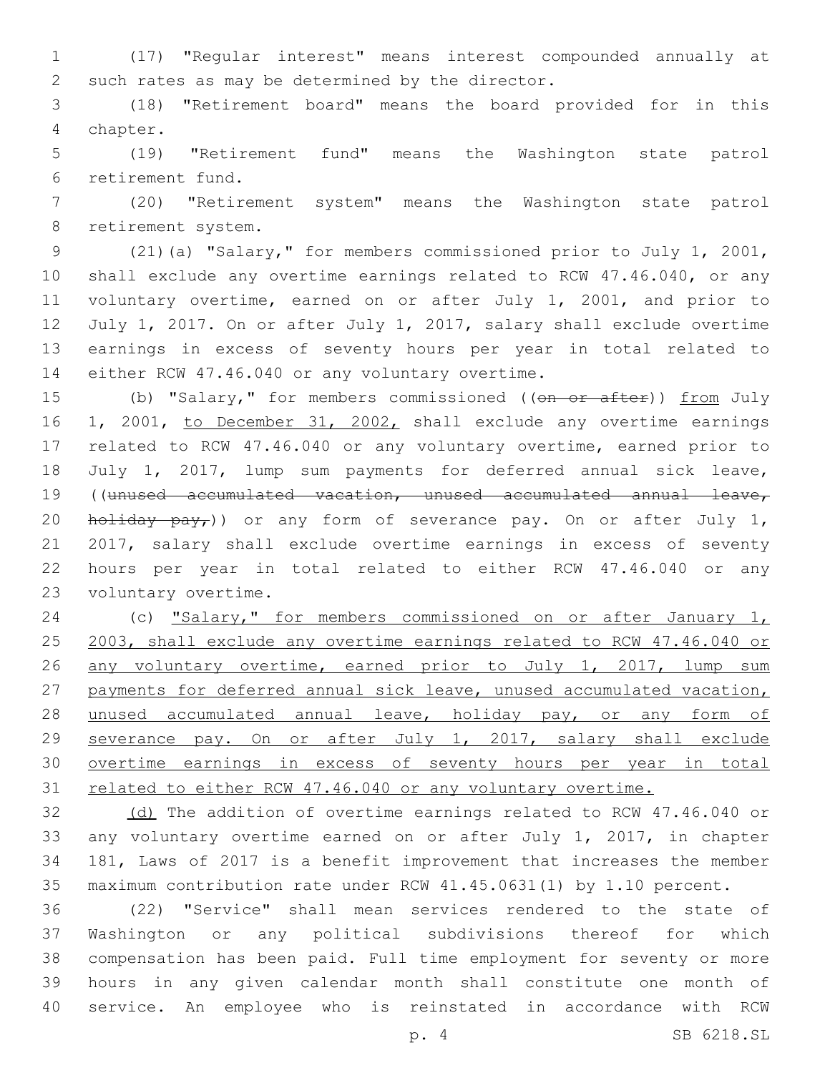(17) "Regular interest" means interest compounded annually at 2 such rates as may be determined by the director.

 (18) "Retirement board" means the board provided for in this chapter.4

 (19) "Retirement fund" means the Washington state patrol retirement fund.6

 (20) "Retirement system" means the Washington state patrol 8 retirement system.

 (21)(a) "Salary," for members commissioned prior to July 1, 2001, shall exclude any overtime earnings related to RCW 47.46.040, or any voluntary overtime, earned on or after July 1, 2001, and prior to July 1, 2017. On or after July 1, 2017, salary shall exclude overtime earnings in excess of seventy hours per year in total related to 14 either RCW 47.46.040 or any voluntary overtime.

15 (b) "Salary," for members commissioned (( $\theta$ n or after)) from July 16 1, 2001, to December 31, 2002, shall exclude any overtime earnings related to RCW 47.46.040 or any voluntary overtime, earned prior to July 1, 2017, lump sum payments for deferred annual sick leave, ((unused accumulated vacation, unused accumulated annual leave, 20 holiday  $pay_r$ )) or any form of severance pay. On or after July 1, 2017, salary shall exclude overtime earnings in excess of seventy hours per year in total related to either RCW 47.46.040 or any 23 voluntary overtime.

 (c) "Salary," for members commissioned on or after January 1, 2003, shall exclude any overtime earnings related to RCW 47.46.040 or any voluntary overtime, earned prior to July 1, 2017, lump sum payments for deferred annual sick leave, unused accumulated vacation, 28 unused accumulated annual leave, holiday pay, or any form of severance pay. On or after July 1, 2017, salary shall exclude overtime earnings in excess of seventy hours per year in total 31 related to either RCW 47.46.040 or any voluntary overtime.

32 (d) The addition of overtime earnings related to RCW 47.46.040 or any voluntary overtime earned on or after July 1, 2017, in chapter 181, Laws of 2017 is a benefit improvement that increases the member maximum contribution rate under RCW 41.45.0631(1) by 1.10 percent.

 (22) "Service" shall mean services rendered to the state of Washington or any political subdivisions thereof for which compensation has been paid. Full time employment for seventy or more hours in any given calendar month shall constitute one month of service. An employee who is reinstated in accordance with RCW